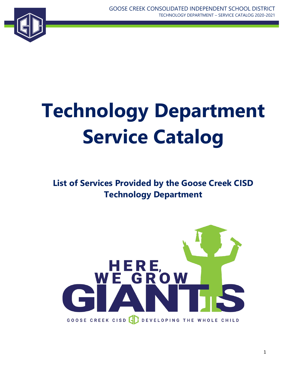

# **Technology Department Service Catalog**

## **List of Services Provided by the Goose Creek CISD Technology Department**

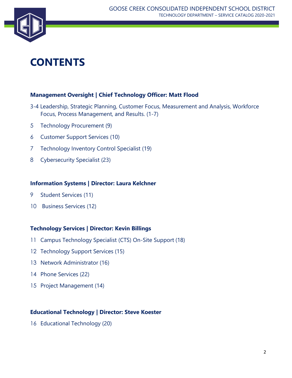

## **CONTENTS**

#### **Management Oversight | Chief Technology Officer: Matt Flood**

- 3-4 Leadership, Strategic Planning, Customer Focus, Measurement and Analysis, Workforce Focus, Process Management, and Results. (1-7)
- 5 Technology Procurement (9)
- 6 Customer Support Services (10)
- 7 Technology Inventory Control Specialist (19)
- 8 Cybersecurity Specialist (23)

#### **Information Systems | Director: Laura Kelchner**

- 9 Student Services (11)
- 10 Business Services (12)

#### **Technology Services | Director: Kevin Billings**

- 11 Campus Technology Specialist (CTS) On-Site Support (18)
- 12 Technology Support Services (15)
- 13 Network Administrator (16)
- 14 Phone Services (22)
- 15 Project Management (14)

#### **Educational Technology | Director: Steve Koester**

16 Educational Technology (20)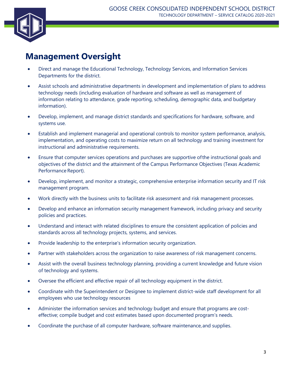

#### **Management Oversight**

- Direct and manage the Educational Technology, Technology Services, and Information Services Departments for the district.
- Assist schools and administrative departments in development and implementation of plans to address technology needs (including evaluation of hardware and software as well as management of information relating to attendance, grade reporting, scheduling, demographic data, and budgetary information).
- Develop, implement, and manage district standards and specifications for hardware, software, and systems use.
- Establish and implement managerial and operational controls to monitor system performance, analysis, implementation, and operating costs to maximize return on all technology and training investment for instructional and administrative requirements.
- Ensure that computer services operations and purchases are supportive ofthe instructional goals and objectives of the district and the attainment of the Campus Performance Objectives (Texas Academic Performance Report).
- Develop, implement, and monitor a strategic, comprehensive enterprise information security and IT risk management program.
- Work directly with the business units to facilitate risk assessment and risk management processes.
- Develop and enhance an information security management framework, including privacy and security policies and practices.
- Understand and interact with related disciplines to ensure the consistent application of policies and standards across all technology projects, systems, and services.
- Provide leadership to the enterprise's information security organization.
- Partner with stakeholders across the organization to raise awareness of risk management concerns.
- Assist with the overall business technology planning, providing a current knowledge and future vision of technology and systems.
- Oversee the efficient and effective repair of all technology equipment in the district.
- Coordinate with the Superintendent or Designee to implement district-wide staff development for all employees who use technology resources
- Administer the information services and technology budget and ensure that programs are costeffective; compile budget and cost estimates based upon documented program's needs.
- Coordinate the purchase of all computer hardware, software maintenance, and supplies.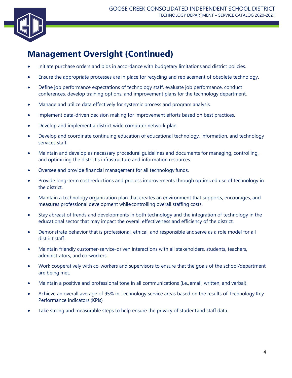

## **Management Oversight (Continued)**

- Initiate purchase orders and bids in accordance with budgetary limitationsand district policies.
- Ensure the appropriate processes are in place for recycling and replacement of obsolete technology.
- Define job performance expectations of technology staff, evaluate job performance, conduct conferences, develop training options, and improvement plans for the technology department.
- Manage and utilize data effectively for systemic process and program analysis.
- Implement data-driven decision making for improvement efforts based on best practices.
- Develop and implement a district wide computer network plan.
- Develop and coordinate continuing education of educational technology, information, and technology services staff.
- Maintain and develop as necessary procedural guidelines and documents for managing, controlling, and optimizing the district's infrastructure and information resources.
- Oversee and provide financial management for all technology funds.
- Provide long-term cost reductions and process improvements through optimized use of technology in the district.
- Maintain a technology organization plan that creates an environment that supports, encourages, and measures professional development whilecontrolling overall staffing costs.
- Stay abreast of trends and developments in both technology and the integration of technology in the educational sector that may impact the overall effectiveness and efficiency of the district.
- Demonstrate behavior that is professional, ethical, and responsible andserve as a role model for all district staff.
- Maintain friendly customer-service-driven interactions with all stakeholders, students, teachers, administrators, and co-workers.
- Work cooperatively with co-workers and supervisors to ensure that the goals of the school/department are being met.
- Maintain a positive and professional tone in all communications (i.e.,email, written, and verbal).
- Achieve an overall average of 95% in Technology service areas based on the results of Technology Key Performance Indicators (KPIs)
- Take strong and measurable steps to help ensure the privacy of student and staff data.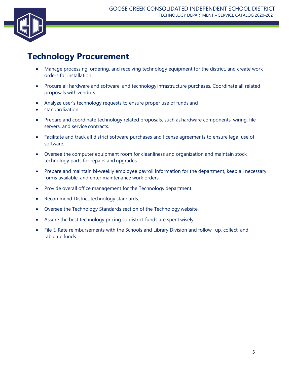

#### **Technology Procurement**

- Manage processing, ordering, and receiving technology equipment for the district, and create work orders for installation.
- Procure all hardware and software, and technology infrastructure purchases. Coordinate all related proposals with vendors.
- Analyze user's technology requests to ensure proper use of funds and
- standardization.
- Prepare and coordinate technology related proposals, such ashardware components, wiring, file servers, and service contracts.
- Facilitate and track all district software purchases and license agreements to ensure legal use of software.
- Oversee the computer equipment room for cleanliness and organization and maintain stock technology parts for repairs and upgrades.
- Prepare and maintain bi-weekly employee payroll information for the department, keep all necessary forms available, and enter maintenance work orders.
- Provide overall office management for the Technology department.
- Recommend District technology standards.
- Oversee the Technology Standards section of the Technology website.
- Assure the best technology pricing so district funds are spent wisely.
- File E-Rate reimbursements with the Schools and Library Division and follow- up, collect, and tabulate funds.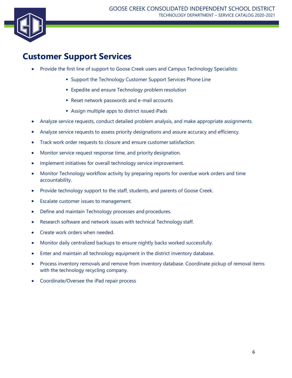

#### **Customer Support Services**

- Provide the first line of support to Goose Creek users and Campus Technology Specialists:
	- **Support the Technology Customer Support Services Phone Line**
	- **Expedite and ensure Technology problem resolution**
	- Reset network passwords and e-mail accounts
	- Assign multiple apps to district issued iPads
- Analyze service requests, conduct detailed problem analysis, and make appropriate assignments.
- Analyze service requests to assess priority designations and assure accuracy and efficiency.
- Track work order requests to closure and ensure customer satisfaction.
- Monitor service request response time, and priority designation.
- Implement initiatives for overall technology service improvement.
- Monitor Technology workflow activity by preparing reports for overdue work orders and time accountability.
- Provide technology support to the staff, students, and parents of Goose Creek.
- Escalate customer issues to management.
- Define and maintain Technology processes and procedures.
- Research software and network issues with technical Technology staff.
- Create work orders when needed.
- Monitor daily centralized backups to ensure nightly backs worked successfully.
- Enter and maintain all technology equipment in the district inventory database.
- Process inventory removals and remove from inventory database. Coordinate pickup of removal items with the technology recycling company.
- Coordinate/Oversee the iPad repair process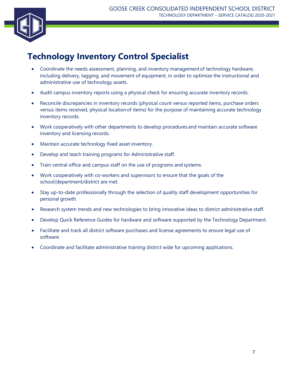

## **Technology Inventory Control Specialist**

- Coordinate the needs assessment, planning, and inventory managementof technology hardware, including delivery, tagging, and movement of equipment, in order to optimize the instructional and administrative use of technology assets.
- Audit campus inventory reports using a physical check for ensuring accurate inventory records.
- Reconcile discrepancies in inventory records (physical count versus reported items, purchase orders versus items received, physical location of items) for the purpose of maintaining accurate technology inventory records.
- Work cooperatively with other departments to develop procedures and maintain accurate software inventory and licensing records.
- Maintain accurate technology fixed asset inventory.
- Develop and teach training programs for Administrative staff.
- Train central office and campus staff on the use of programs and systems.
- Work cooperatively with co-workers and supervisors to ensure that the goals of the school/department/district are met.
- Stay up-to-date professionally through the selection of quality staff development opportunities for personal growth.
- Research system trends and new technologies to bring innovative ideas to district administrative staff.
- Develop Quick Reference Guides for hardware and software supported by the Technology Department.
- Facilitate and track all district software purchases and license agreements to ensure legal use of software.
- Coordinate and facilitate administrative training district wide for upcoming applications.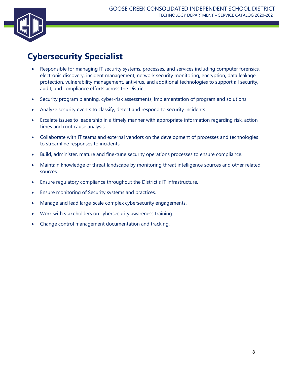

## **Cybersecurity Specialist**

- Responsible for managing IT security systems, processes, and services including computer forensics, electronic discovery, incident management, network security monitoring, encryption, data leakage protection, vulnerability management, antivirus, and additional technologies to support all security, audit, and compliance efforts across the District.
- Security program planning, cyber-risk assessments, implementation of program and solutions.
- Analyze security events to classify, detect and respond to security incidents.
- Escalate issues to leadership in a timely manner with appropriate information regarding risk, action times and root cause analysis.
- Collaborate with IT teams and external vendors on the development of processes and technologies to streamline responses to incidents.
- Build, administer, mature and fine-tune security operations processes to ensure compliance.
- Maintain knowledge of threat landscape by monitoring threat intelligence sources and other related sources.
- Ensure regulatory compliance throughout the District's IT infrastructure.
- Ensure monitoring of Security systems and practices.
- Manage and lead large-scale complex cybersecurity engagements.
- Work with stakeholders on cybersecurity awareness training.
- Change control management documentation and tracking.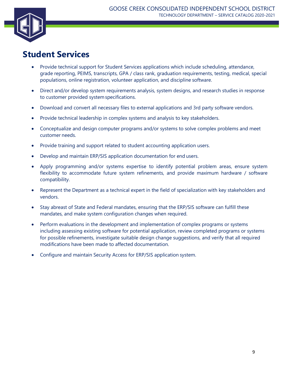

#### **Student Services**

- Provide technical support for Student Services applications which include scheduling, attendance, grade reporting, PEIMS, transcripts, GPA / class rank, graduation requirements, testing, medical, special populations, online registration, volunteer application, and discipline software.
- Direct and/or develop system requirements analysis, system designs, and research studies in response to customer provided systemspecifications.
- Download and convert all necessary files to external applications and 3rd party software vendors.
- Provide technical leadership in complex systems and analysis to key stakeholders.
- Conceptualize and design computer programs and/or systems to solve complex problems and meet customer needs.
- Provide training and support related to student accounting application users.
- Develop and maintain ERP/SIS application documentation for end users.
- Apply programming and/or systems expertise to identify potential problem areas, ensure system flexibility to accommodate future system refinements, and provide maximum hardware / software compatibility.
- Represent the Department as a technical expert in the field of specialization with key stakeholders and vendors.
- Stay abreast of State and Federal mandates, ensuring that the ERP/SIS software can fulfill these mandates, and make system configuration changes when required.
- Perform evaluations in the development and implementation of complex programs or systems including assessing existing software for potential application, review completed programs or systems for possible refinements, investigate suitable design change suggestions, and verify that all required modifications have been made to affected documentation.
- Configure and maintain Security Access for ERP/SIS application system.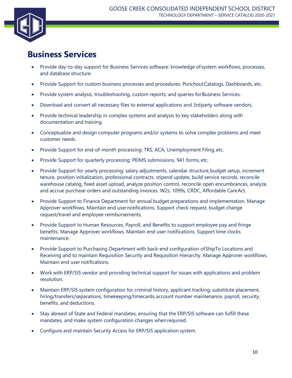

#### **Business Services**

- Provide day-to-day support for Business Services software: knowledge of system workflows, processes, and database structure.
- Provide Support for custom business processes and procedures: PunchoutCatalogs, Dashboards, etc.
- Provide system analysis, troubleshooting, custom reports, and queries for Business Services.
- Download and convert all necessary files to external applications and 3rdparty software vendors.
- Provide technical leadership in complex systems and analysis to key stakeholders along with documentation and training.
- Conceptualize and design computer programs and/or systems to solve complex problems and meet customer needs.
- Provide Support for end-of-month processing: TRS, ACA, Unemployment Filing, etc.
- Provide Support for quarterly processing: PEIMS submissions, 941 forms, etc.
- Provide Support for yearly processing: salary adjustments, calendar structure, budget setup, increment tenure, position initialization, professional contracts, stipend update, build service records, reconcile warehouse catalog, fixed asset upload, analyze position control, reconcile open encumbrances, analyze, and accrue purchase orders and outstanding invoices. W2s, 1099s, CRDC, Affordable CareAct.
- Provide Support to Finance Department for annual budget preparations and implementation. Manage Approver workflows. Maintain end usernotifications. Support check request, budget change request/travel and employee reimbursements.
- Provide Support to Human Resources, Payroll, and Benefits to support employee pay and fringe benefits. Manage Approver workflows. Maintain end user notifications. Support time clocks maintenance.
- Provide Support to Purchasing Department with back-end configuration ofShipTo Locations and Receiving and to maintain Requisition Security and Requisition Hierarchy. Manage Approver workflows. Maintain end user notifications.
- Work with ERP/SIS vendor and providing technical support for issues with applications and problem resolution.
- Maintain ERP/SIS system configuration for criminal history, applicant tracking, substitute placement, hiring/transfers/separations, timekeeping/timecards, account number maintenance, payroll, security, benefits, and deductions.
- Stay abreast of State and Federal mandates, ensuring that the ERP/SIS software can fulfill these mandates, and make system configuration changes when required.
- Configure and maintain Security Access for ERP/SIS application system.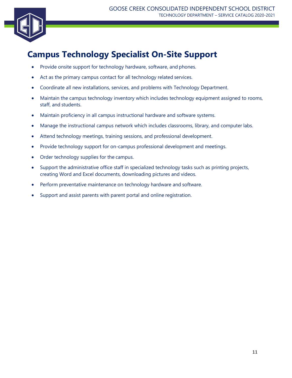

## **Campus Technology Specialist On-Site Support**

- Provide onsite support for technology hardware, software, and phones.
- Act as the primary campus contact for all technology related services.
- Coordinate all new installations, services, and problems with Technology Department.
- Maintain the campus technology inventory which includes technology equipment assigned to rooms, staff, and students.
- Maintain proficiency in all campus instructional hardware and software systems.
- Manage the instructional campus network which includes classrooms, library, and computer labs.
- Attend technology meetings, training sessions, and professional development.
- Provide technology support for on-campus professional development and meetings.
- Order technology supplies for the campus.
- Support the administrative office staff in specialized technology tasks such as printing projects, creating Word and Excel documents, downloading pictures and videos.
- Perform preventative maintenance on technology hardware and software.
- Support and assist parents with parent portal and online registration.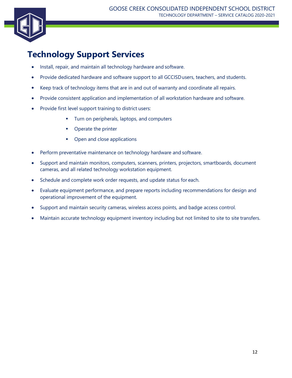#### **Technology Support Services**

- Install, repair, and maintain all technology hardware and software.
- Provide dedicated hardware and software support to all GCCISD users, teachers, and students.
- Keep track of technology items that are in and out of warranty and coordinate all repairs.
- Provide consistent application and implementation of all workstation hardware and software.
- Provide first level support training to district users:
	- Turn on peripherals, laptops, and computers
	- Operate the printer
	- Open and close applications
- Perform preventative maintenance on technology hardware and software.
- Support and maintain monitors, computers, scanners, printers, projectors, smartboards, document cameras, and all related technology workstation equipment.
- Schedule and complete work order requests, and update status for each.
- Evaluate equipment performance, and prepare reports including recommendations for design and operational improvement of the equipment.
- Support and maintain security cameras, wireless access points, and badge access control.
- Maintain accurate technology equipment inventory including but not limited to site to site transfers.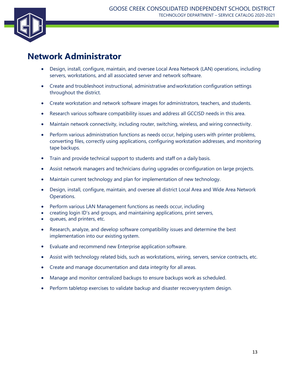

#### **Network Administrator**

- Design, install, configure, maintain, and oversee Local Area Network (LAN) operations, including servers, workstations, and all associated server and network software.
- Create and troubleshoot instructional, administrative andworkstation configuration settings throughout the district.
- Create workstation and network software images for administrators, teachers, and students.
- Research various software compatibility issues and address all GCCISD needs in this area.
- Maintain network connectivity, including router, switching, wireless, and wiring connectivity.
- Perform various administration functions as needs occur, helping users with printer problems, converting files, correctly using applications, configuring workstation addresses, and monitoring tape backups.
- Train and provide technical support to students and staff on a daily basis.
- Assist network managers and technicians during upgrades or configuration on large projects.
- Maintain current technology and plan for implementation of new technology.
- Design, install, configure, maintain, and oversee all district Local Area and Wide Area Network Operations.
- Perform various LAN Management functions as needs occur, including
- creating login ID's and groups, and maintaining applications, print servers,
- queues, and printers, etc.
- Research, analyze, and develop software compatibility issues and determine the best implementation into our existing system.
- Evaluate and recommend new Enterprise application software.
- Assist with technology related bids, such as workstations, wiring, servers, service contracts, etc.
- Create and manage documentation and data integrity for all areas.
- Manage and monitor centralized backups to ensure backups work as scheduled.
- Perform tabletop exercises to validate backup and disaster recoverysystem design.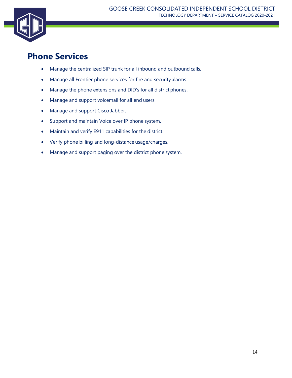

#### **Phone Services**

- Manage the centralized SIP trunk for all inbound and outbound calls.
- Manage all Frontier phone services for fire and security alarms.
- Manage the phone extensions and DID's for all district phones.
- Manage and support voicemail for all end users.
- Manage and support Cisco Jabber.
- Support and maintain Voice over IP phone system.
- Maintain and verify E911 capabilities for the district.
- Verify phone billing and long-distance usage/charges.
- Manage and support paging over the district phone system.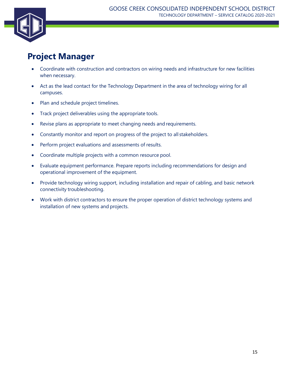

#### **Project Manager**

- Coordinate with construction and contractors on wiring needs and infrastructure for new facilities when necessary.
- Act as the lead contact for the Technology Department in the area of technology wiring for all campuses.
- Plan and schedule project timelines.
- Track project deliverables using the appropriate tools.
- Revise plans as appropriate to meet changing needs and requirements.
- Constantly monitor and report on progress of the project to all stakeholders.
- Perform project evaluations and assessments of results.
- Coordinate multiple projects with a common resource pool.
- Evaluate equipment performance. Prepare reports including recommendations for design and operational improvement of the equipment.
- Provide technology wiring support, including installation and repair of cabling, and basic network connectivity troubleshooting.
- Work with district contractors to ensure the proper operation of district technology systems and installation of new systems and projects.